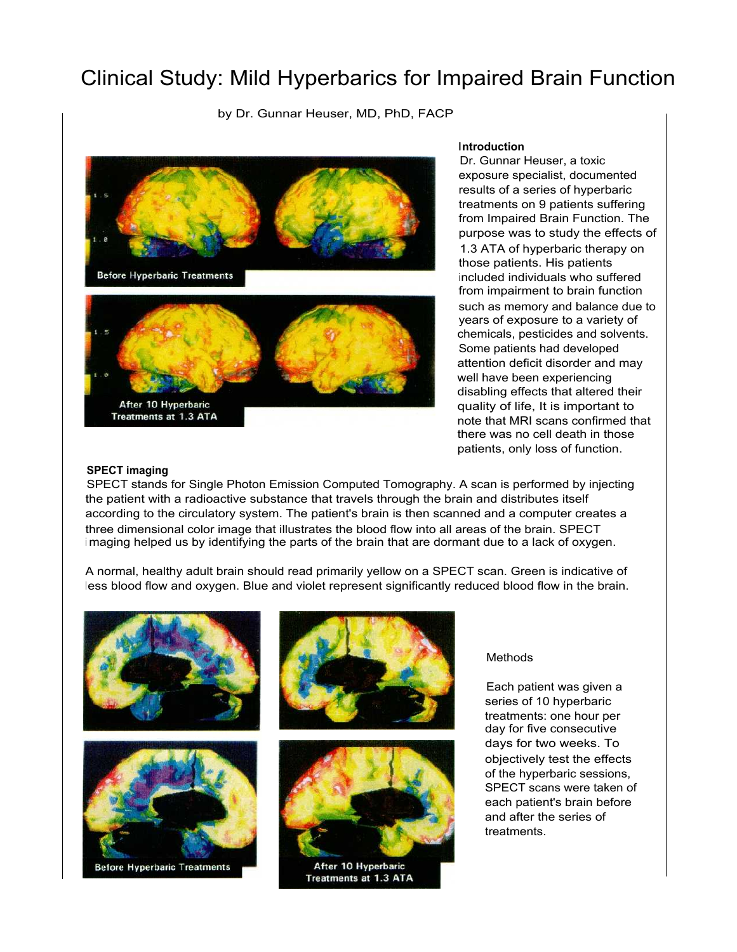# Clinical Study: Mild Hyperbarics for Impaired Brain Function

by Dr. Gunnar Heuser, MD, PhD, FACP



## **Introduction**

Dr. Gunnar Heuser, a toxic exposure specialist, documented results of a series of hyperbaric treatments on 9 patients suffering from Impaired Brain Function. The purpose was to study the effects of 1.3 ATA of hyperbaric therapy on those patients. His patients included individuals who suffered from impairment to brain function such as memory and balance due to years of exposure to a variety of chemicals, pesticides and solvents. Some patients had developed attention deficit disorder and may well have been experiencing disabling effects that altered their quality of life, It is important to note that MRI scans confirmed that there was no cell death in those patients, only loss of function.

### **SPECT imaging**

SPECT stands for Single Photon Emission Computed Tomography. A scan is performed by injecting the patient with a radioactive substance that travels through the brain and distributes itself according to the circulatory system. The patient's brain is then scanned and a computer creates a three dimensional color image that illustrates the blood flow into all areas of the brain. SPECT <sup>i</sup> maging helped us by identifying the parts of the brain that are dormant due to a lack of oxygen.

A normal, healthy adult brain should read primarily yellow on a SPECT scan. Green is indicative of less blood flow and oxygen. Blue and violet represent significantly reduced blood flow in the brain.







After 10 Hyperbaric Treatments at 1.3 ATA

### Methods

Each patient was given a series of 10 hyperbaric treatments: one hour per day for five consecutive days for two weeks. To objectively test the effects of the hyperbaric sessions, SPECT scans were taken of each patient's brain before and after the series of treatments.